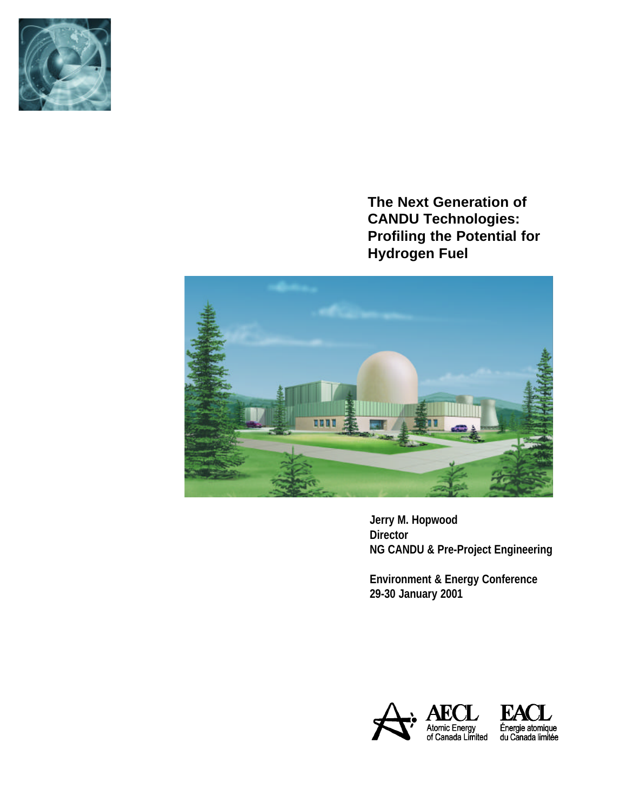

**The Next Generation of CANDU Technologies: Profiling the Potential for Hydrogen Fuel** 



**Jerry M. Hopwood Director NG CANDU & Pre-Project Engineering** 

**Environment & Energy Conference 29-30 January 2001**

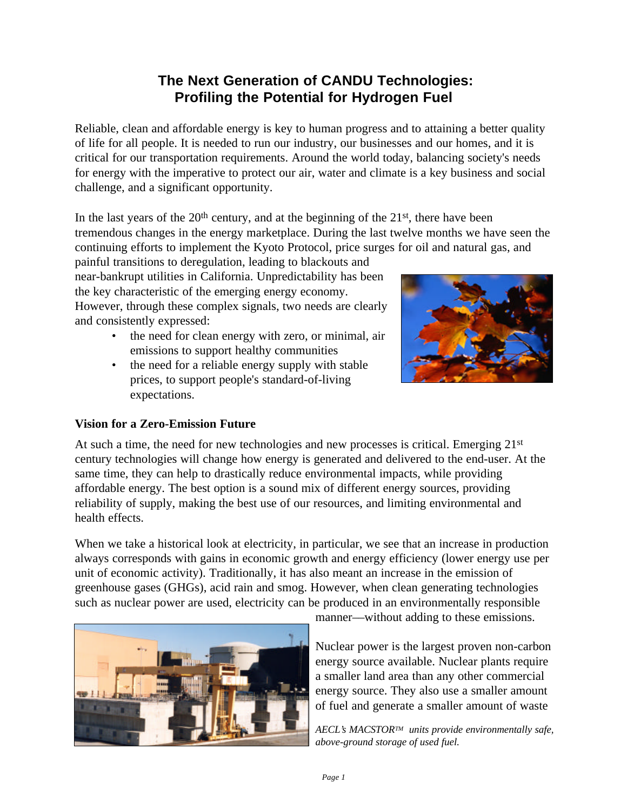# **The Next Generation of CANDU Technologies: Profiling the Potential for Hydrogen Fuel**

Reliable, clean and affordable energy is key to human progress and to attaining a better quality of life for all people. It is needed to run our industry, our businesses and our homes, and it is critical for our transportation requirements. Around the world today, balancing society's needs for energy with the imperative to protect our air, water and climate is a key business and social challenge, and a significant opportunity.

In the last years of the  $20<sup>th</sup>$  century, and at the beginning of the  $21<sup>st</sup>$ , there have been tremendous changes in the energy marketplace. During the last twelve months we have seen the continuing efforts to implement the Kyoto Protocol, price surges for oil and natural gas, and

painful transitions to deregulation, leading to blackouts and near-bankrupt utilities in California. Unpredictability has been the key characteristic of the emerging energy economy. However, through these complex signals, two needs are clearly and consistently expressed:

- the need for clean energy with zero, or minimal, air emissions to support healthy communities
- the need for a reliable energy supply with stable prices, to support people's standard-of-living expectations.



## **Vision for a Zero-Emission Future**

At such a time, the need for new technologies and new processes is critical. Emerging  $21<sup>st</sup>$ century technologies will change how energy is generated and delivered to the end-user. At the same time, they can help to drastically reduce environmental impacts, while providing affordable energy. The best option is a sound mix of different energy sources, providing reliability of supply, making the best use of our resources, and limiting environmental and health effects.

When we take a historical look at electricity, in particular, we see that an increase in production always corresponds with gains in economic growth and energy efficiency (lower energy use per unit of economic activity). Traditionally, it has also meant an increase in the emission of greenhouse gases (GHGs), acid rain and smog. However, when clean generating technologies such as nuclear power are used, electricity can be produced in an environmentally responsible



manner––without adding to these emissions.

Nuclear power is the largest proven non-carbon energy source available. Nuclear plants require a smaller land area than any other commercial energy source. They also use a smaller amount of fuel and generate a smaller amount of waste

*AECL's MACSTORTM units provide environmentally safe, above-ground storage of used fuel.*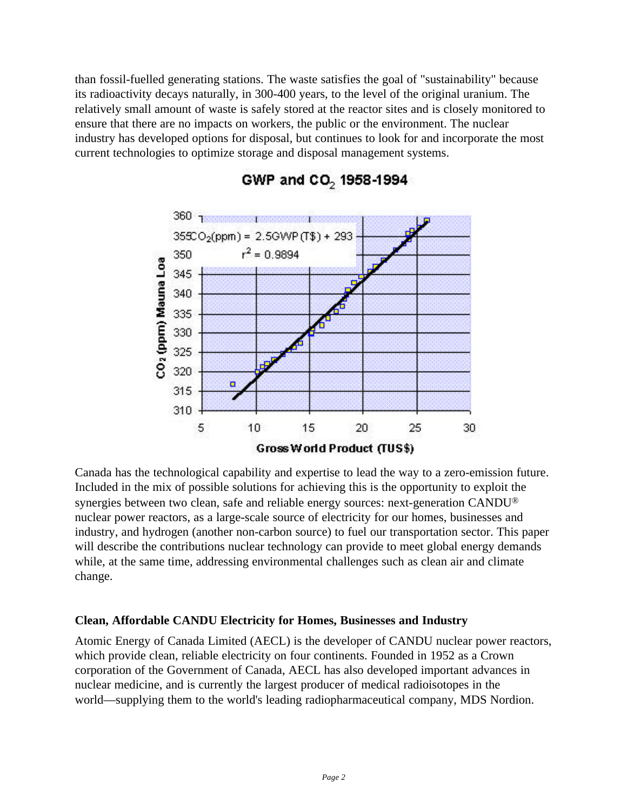than fossil-fuelled generating stations. The waste satisfies the goal of "sustainability" because its radioactivity decays naturally, in 300-400 years, to the level of the original uranium. The relatively small amount of waste is safely stored at the reactor sites and is closely monitored to ensure that there are no impacts on workers, the public or the environment. The nuclear industry has developed options for disposal, but continues to look for and incorporate the most current technologies to optimize storage and disposal management systems.



## GWP and CO<sub>2</sub> 1958-1994

Canada has the technological capability and expertise to lead the way to a zero-emission future. Included in the mix of possible solutions for achieving this is the opportunity to exploit the synergies between two clean, safe and reliable energy sources: next-generation CANDU® nuclear power reactors, as a large-scale source of electricity for our homes, businesses and industry, and hydrogen (another non-carbon source) to fuel our transportation sector. This paper will describe the contributions nuclear technology can provide to meet global energy demands while, at the same time, addressing environmental challenges such as clean air and climate change.

#### **Clean, Affordable CANDU Electricity for Homes, Businesses and Industry**

Atomic Energy of Canada Limited (AECL) is the developer of CANDU nuclear power reactors, which provide clean, reliable electricity on four continents. Founded in 1952 as a Crown corporation of the Government of Canada, AECL has also developed important advances in nuclear medicine, and is currently the largest producer of medical radioisotopes in the world––supplying them to the world's leading radiopharmaceutical company, MDS Nordion.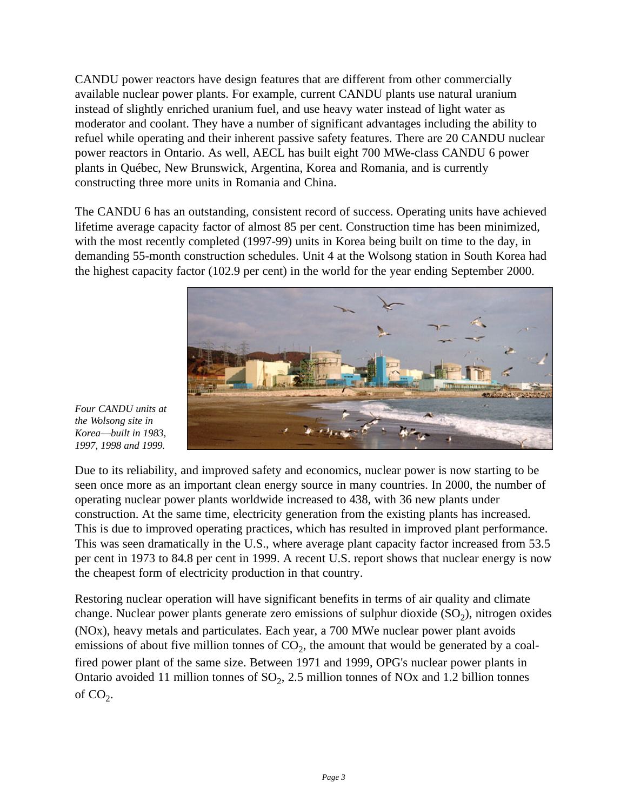CANDU power reactors have design features that are different from other commercially available nuclear power plants. For example, current CANDU plants use natural uranium instead of slightly enriched uranium fuel, and use heavy water instead of light water as moderator and coolant. They have a number of significant advantages including the ability to refuel while operating and their inherent passive safety features. There are 20 CANDU nuclear power reactors in Ontario. As well, AECL has built eight 700 MWe-class CANDU 6 power plants in Québec, New Brunswick, Argentina, Korea and Romania, and is currently constructing three more units in Romania and China.

The CANDU 6 has an outstanding, consistent record of success. Operating units have achieved lifetime average capacity factor of almost 85 per cent. Construction time has been minimized, with the most recently completed (1997-99) units in Korea being built on time to the day, in demanding 55-month construction schedules. Unit 4 at the Wolsong station in South Korea had the highest capacity factor (102.9 per cent) in the world for the year ending September 2000.



*Four CANDU units at the Wolsong site in Korea––built in 1983, 1997, 1998 and 1999.*

Due to its reliability, and improved safety and economics, nuclear power is now starting to be seen once more as an important clean energy source in many countries. In 2000, the number of operating nuclear power plants worldwide increased to 438, with 36 new plants under construction. At the same time, electricity generation from the existing plants has increased. This is due to improved operating practices, which has resulted in improved plant performance. This was seen dramatically in the U.S., where average plant capacity factor increased from 53.5 per cent in 1973 to 84.8 per cent in 1999. A recent U.S. report shows that nuclear energy is now the cheapest form of electricity production in that country.

Restoring nuclear operation will have significant benefits in terms of air quality and climate change. Nuclear power plants generate zero emissions of sulphur dioxide  $(SO_2)$ , nitrogen oxides (NOx), heavy metals and particulates. Each year, a 700 MWe nuclear power plant avoids emissions of about five million tonnes of  $CO_2$ , the amount that would be generated by a coalfired power plant of the same size. Between 1971 and 1999, OPG's nuclear power plants in Ontario avoided 11 million tonnes of  $SO_2$ , 2.5 million tonnes of NOx and 1.2 billion tonnes of  $CO_2$ .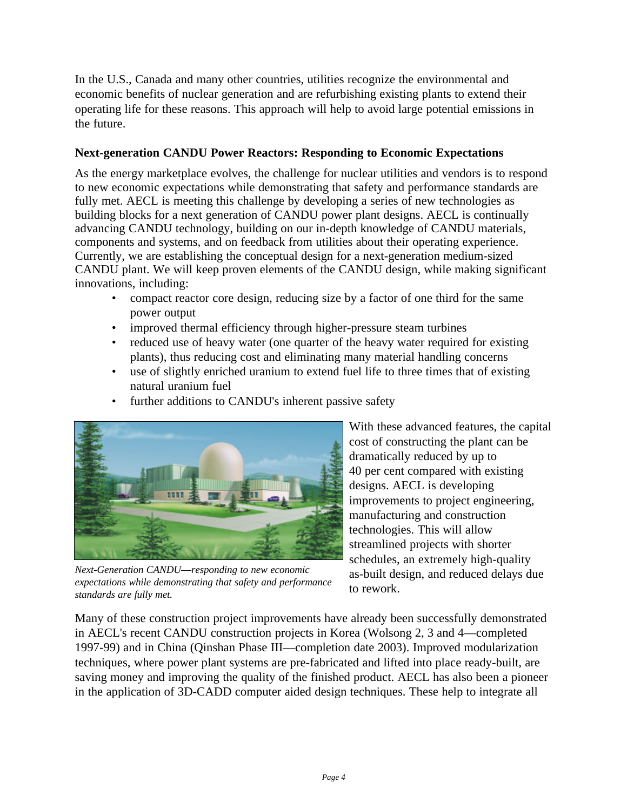In the U.S., Canada and many other countries, utilities recognize the environmental and economic benefits of nuclear generation and are refurbishing existing plants to extend their operating life for these reasons. This approach will help to avoid large potential emissions in the future.

#### **Next-generation CANDU Power Reactors: Responding to Economic Expectations**

As the energy marketplace evolves, the challenge for nuclear utilities and vendors is to respond to new economic expectations while demonstrating that safety and performance standards are fully met. AECL is meeting this challenge by developing a series of new technologies as building blocks for a next generation of CANDU power plant designs. AECL is continually advancing CANDU technology, building on our in-depth knowledge of CANDU materials, components and systems, and on feedback from utilities about their operating experience. Currently, we are establishing the conceptual design for a next-generation medium-sized CANDU plant. We will keep proven elements of the CANDU design, while making significant innovations, including:

- compact reactor core design, reducing size by a factor of one third for the same power output
- improved thermal efficiency through higher-pressure steam turbines
- reduced use of heavy water (one quarter of the heavy water required for existing plants), thus reducing cost and eliminating many material handling concerns
- use of slightly enriched uranium to extend fuel life to three times that of existing natural uranium fuel
- further additions to CANDU's inherent passive safety



*Next-Generation CANDU––responding to new economic expectations while demonstrating that safety and performance standards are fully met.*

With these advanced features, the capital cost of constructing the plant can be dramatically reduced by up to 40 per cent compared with existing designs. AECL is developing improvements to project engineering, manufacturing and construction technologies. This will allow streamlined projects with shorter schedules, an extremely high-quality as-built design, and reduced delays due to rework.

Many of these construction project improvements have already been successfully demonstrated in AECL's recent CANDU construction projects in Korea (Wolsong 2, 3 and 4––completed 1997-99) and in China (Qinshan Phase III––completion date 2003). Improved modularization techniques, where power plant systems are pre-fabricated and lifted into place ready-built, are saving money and improving the quality of the finished product. AECL has also been a pioneer in the application of 3D-CADD computer aided design techniques. These help to integrate all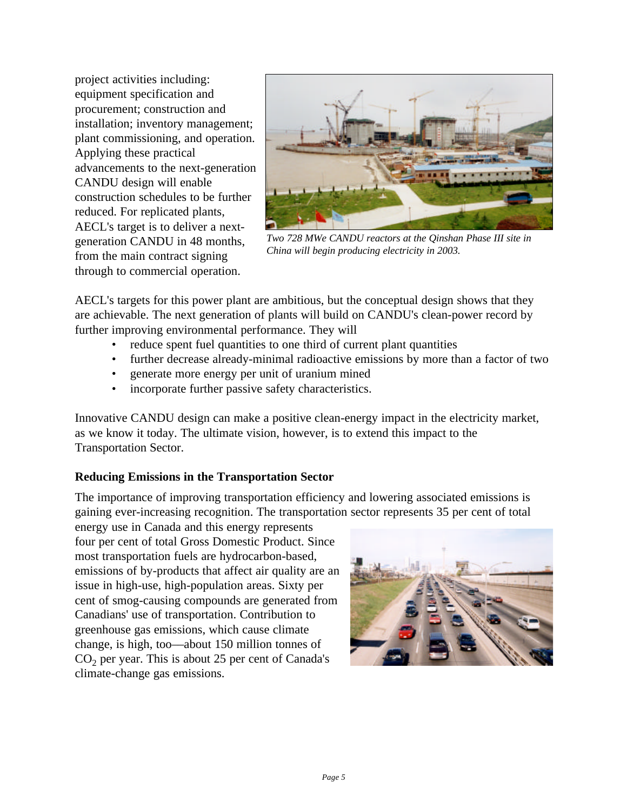project activities including: equipment specification and procurement; construction and installation; inventory management; plant commissioning, and operation. Applying these practical advancements to the next-generation CANDU design will enable construction schedules to be further reduced. For replicated plants, AECL's target is to deliver a nextgeneration CANDU in 48 months, from the main contract signing through to commercial operation.



*Two 728 MWe CANDU reactors at the Qinshan Phase III site in China will begin producing electricity in 2003.*

AECL's targets for this power plant are ambitious, but the conceptual design shows that they are achievable. The next generation of plants will build on CANDU's clean-power record by further improving environmental performance. They will

- reduce spent fuel quantities to one third of current plant quantities
- further decrease already-minimal radioactive emissions by more than a factor of two
- generate more energy per unit of uranium mined
- incorporate further passive safety characteristics.

Innovative CANDU design can make a positive clean-energy impact in the electricity market, as we know it today. The ultimate vision, however, is to extend this impact to the Transportation Sector.

## **Reducing Emissions in the Transportation Sector**

The importance of improving transportation efficiency and lowering associated emissions is gaining ever-increasing recognition. The transportation sector represents 35 per cent of total

energy use in Canada and this energy represents four per cent of total Gross Domestic Product. Since most transportation fuels are hydrocarbon-based, emissions of by-products that affect air quality are an issue in high-use, high-population areas. Sixty per cent of smog-causing compounds are generated from Canadians' use of transportation. Contribution to greenhouse gas emissions, which cause climate change, is high, too––about 150 million tonnes of  $CO<sub>2</sub>$  per year. This is about 25 per cent of Canada's climate-change gas emissions.

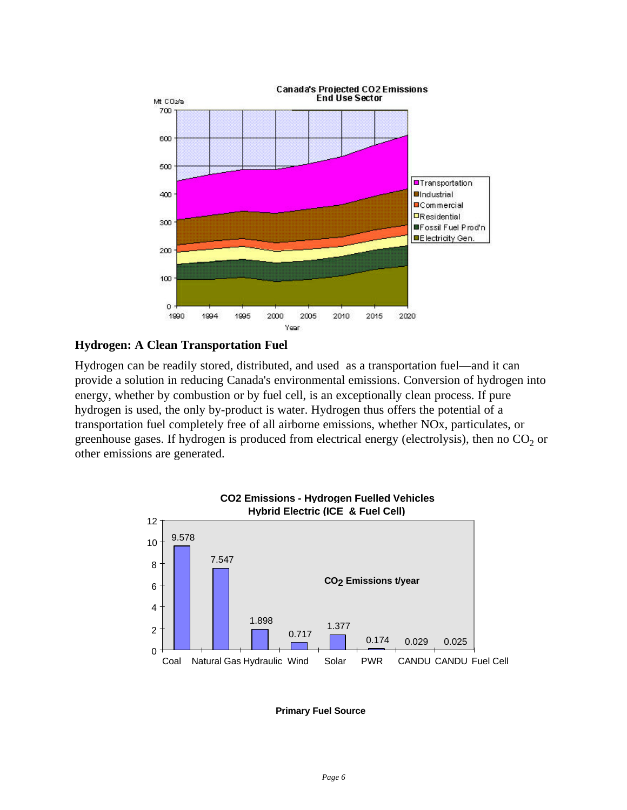

#### **Hydrogen: A Clean Transportation Fuel**

Hydrogen can be readily stored, distributed, and used as a transportation fuel––and it can provide a solution in reducing Canada's environmental emissions. Conversion of hydrogen into energy, whether by combustion or by fuel cell, is an exceptionally clean process. If pure hydrogen is used, the only by-product is water. Hydrogen thus offers the potential of a transportation fuel completely free of all airborne emissions, whether NOx, particulates, or greenhouse gases. If hydrogen is produced from electrical energy (electrolysis), then no  $CO_2$  or other emissions are generated.



**Primary Fuel Source**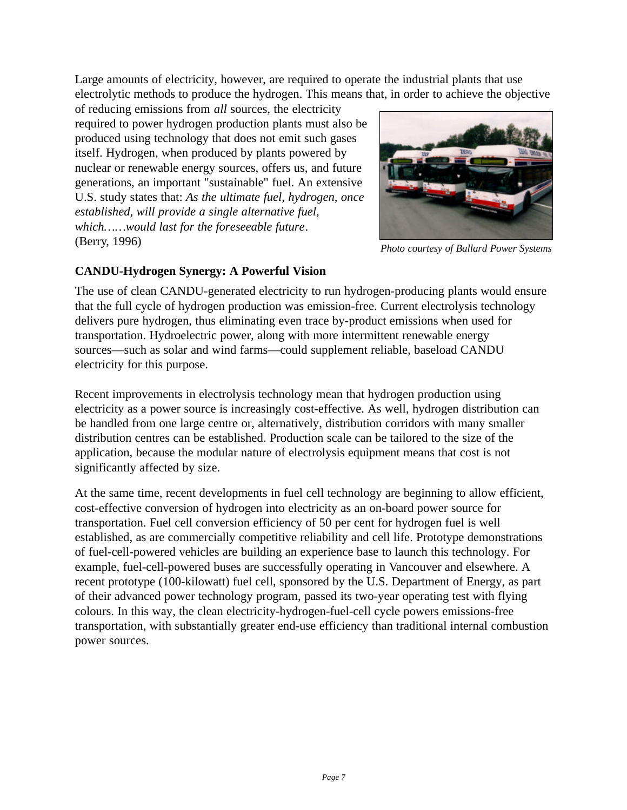Large amounts of electricity, however, are required to operate the industrial plants that use electrolytic methods to produce the hydrogen. This means that, in order to achieve the objective

of reducing emissions from *all* sources, the electricity required to power hydrogen production plants must also be produced using technology that does not emit such gases itself. Hydrogen, when produced by plants powered by nuclear or renewable energy sources, offers us, and future generations, an important "sustainable" fuel. An extensive U.S. study states that: *As the ultimate fuel, hydrogen, once established, will provide a single alternative fuel, which……would last for the foreseeable future*. (Berry, 1996)



*Photo courtesy of Ballard Power Systems*

## **CANDU-Hydrogen Synergy: A Powerful Vision**

The use of clean CANDU-generated electricity to run hydrogen-producing plants would ensure that the full cycle of hydrogen production was emission-free. Current electrolysis technology delivers pure hydrogen, thus eliminating even trace by-product emissions when used for transportation. Hydroelectric power, along with more intermittent renewable energy sources––such as solar and wind farms––could supplement reliable, baseload CANDU electricity for this purpose.

Recent improvements in electrolysis technology mean that hydrogen production using electricity as a power source is increasingly cost-effective. As well, hydrogen distribution can be handled from one large centre or, alternatively, distribution corridors with many smaller distribution centres can be established. Production scale can be tailored to the size of the application, because the modular nature of electrolysis equipment means that cost is not significantly affected by size.

At the same time, recent developments in fuel cell technology are beginning to allow efficient, cost-effective conversion of hydrogen into electricity as an on-board power source for transportation. Fuel cell conversion efficiency of 50 per cent for hydrogen fuel is well established, as are commercially competitive reliability and cell life. Prototype demonstrations of fuel-cell-powered vehicles are building an experience base to launch this technology. For example, fuel-cell-powered buses are successfully operating in Vancouver and elsewhere. A recent prototype (100-kilowatt) fuel cell, sponsored by the U.S. Department of Energy, as part of their advanced power technology program, passed its two-year operating test with flying colours. In this way, the clean electricity-hydrogen-fuel-cell cycle powers emissions-free transportation, with substantially greater end-use efficiency than traditional internal combustion power sources.